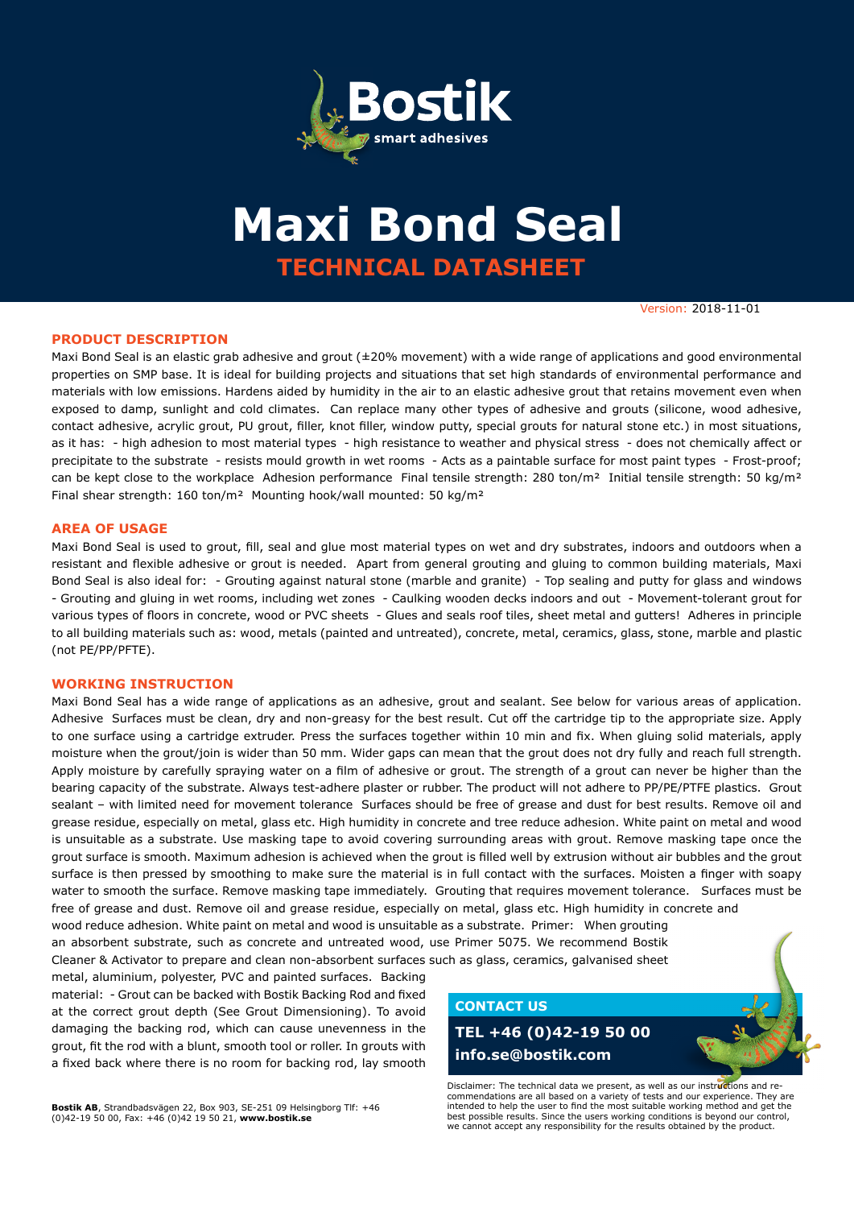

# **TECHNICAL DATASHEET Maxi Bond Seal**

Version: 2018-11-01

### **PRODUCT DESCRIPTION**

Maxi Bond Seal is an elastic grab adhesive and grout (±20% movement) with a wide range of applications and good environmental properties on SMP base. It is ideal for building projects and situations that set high standards of environmental performance and materials with low emissions. Hardens aided by humidity in the air to an elastic adhesive grout that retains movement even when exposed to damp, sunlight and cold climates. Can replace many other types of adhesive and grouts (silicone, wood adhesive, contact adhesive, acrylic grout, PU grout, filler, knot filler, window putty, special grouts for natural stone etc.) in most situations, as it has: - high adhesion to most material types - high resistance to weather and physical stress - does not chemically affect or precipitate to the substrate - resists mould growth in wet rooms - Acts as a paintable surface for most paint types - Frost-proof; can be kept close to the workplace Adhesion performance Final tensile strength: 280 ton/m<sup>2</sup> Initial tensile strength: 50 kg/m<sup>2</sup> Final shear strength: 160 ton/m² Mounting hook/wall mounted: 50 kg/m²

### **AREA OF USAGE**

Maxi Bond Seal is used to grout, fill, seal and glue most material types on wet and dry substrates, indoors and outdoors when a resistant and flexible adhesive or grout is needed. Apart from general grouting and gluing to common building materials, Maxi Bond Seal is also ideal for: - Grouting against natural stone (marble and granite) - Top sealing and putty for glass and windows - Grouting and gluing in wet rooms, including wet zones - Caulking wooden decks indoors and out - Movement-tolerant grout for various types of floors in concrete, wood or PVC sheets - Glues and seals roof tiles, sheet metal and gutters! Adheres in principle to all building materials such as: wood, metals (painted and untreated), concrete, metal, ceramics, glass, stone, marble and plastic (not PE/PP/PFTE).

#### **WORKING INSTRUCTION**

Maxi Bond Seal has a wide range of applications as an adhesive, grout and sealant. See below for various areas of application. Adhesive Surfaces must be clean, dry and non-greasy for the best result. Cut off the cartridge tip to the appropriate size. Apply to one surface using a cartridge extruder. Press the surfaces together within 10 min and fix. When gluing solid materials, apply moisture when the grout/join is wider than 50 mm. Wider gaps can mean that the grout does not dry fully and reach full strength. Apply moisture by carefully spraying water on a film of adhesive or grout. The strength of a grout can never be higher than the bearing capacity of the substrate. Always test-adhere plaster or rubber. The product will not adhere to PP/PE/PTFE plastics. Grout sealant – with limited need for movement tolerance Surfaces should be free of grease and dust for best results. Remove oil and grease residue, especially on metal, glass etc. High humidity in concrete and tree reduce adhesion. White paint on metal and wood is unsuitable as a substrate. Use masking tape to avoid covering surrounding areas with grout. Remove masking tape once the grout surface is smooth. Maximum adhesion is achieved when the grout is filled well by extrusion without air bubbles and the grout surface is then pressed by smoothing to make sure the material is in full contact with the surfaces. Moisten a finger with soapy water to smooth the surface. Remove masking tape immediately. Grouting that requires movement tolerance. Surfaces must be free of grease and dust. Remove oil and grease residue, especially on metal, glass etc. High humidity in concrete and wood reduce adhesion. White paint on metal and wood is unsuitable as a substrate. Primer: When grouting

an absorbent substrate, such as concrete and untreated wood, use Primer 5075. We recommend Bostik Cleaner & Activator to prepare and clean non-absorbent surfaces such as glass, ceramics, galvanised sheet

metal, aluminium, polyester, PVC and painted surfaces. Backing material: - Grout can be backed with Bostik Backing Rod and fixed at the correct grout depth (See Grout Dimensioning). To avoid damaging the backing rod, which can cause unevenness in the grout, fit the rod with a blunt, smooth tool or roller. In grouts with a fixed back where there is no room for backing rod, lay smooth

**CONTACT US**

# **TEL +46 (0)42-19 50 00 info.se@bostik.com**

Disclaimer: The technical data we present, as well as our instructions and recommendations are all based on a variety of tests and our experience. They are intended to help the user to find the most suitable working method and get the best possible results. Since the users working conditions is beyond our control, we cannot accept any responsibility for the results obtained by the product.

**Bostik AB**, Strandbadsvägen 22, Box 903, SE-251 09 Helsingborg Tlf: +46 (0)42-19 50 00, Fax: +46 (0)42 19 50 21, **www.bostik.se**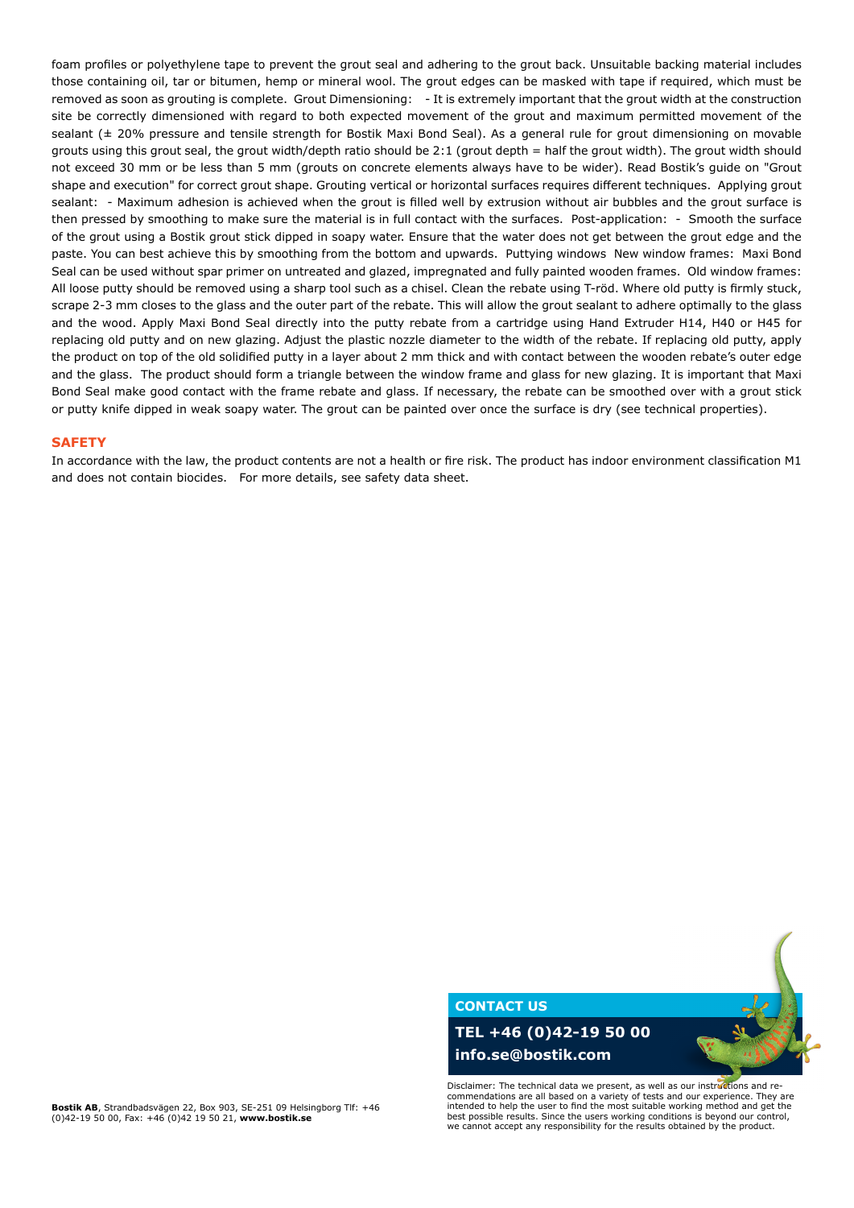foam profiles or polyethylene tape to prevent the grout seal and adhering to the grout back. Unsuitable backing material includes those containing oil, tar or bitumen, hemp or mineral wool. The grout edges can be masked with tape if required, which must be removed as soon as grouting is complete. Grout Dimensioning: - It is extremely important that the grout width at the construction site be correctly dimensioned with regard to both expected movement of the grout and maximum permitted movement of the sealant ( $\pm$  20% pressure and tensile strength for Bostik Maxi Bond Seal). As a general rule for grout dimensioning on movable grouts using this grout seal, the grout width/depth ratio should be 2:1 (grout depth = half the grout width). The grout width should not exceed 30 mm or be less than 5 mm (grouts on concrete elements always have to be wider). Read Bostik's guide on "Grout shape and execution" for correct grout shape. Grouting vertical or horizontal surfaces requires different techniques. Applying grout sealant: - Maximum adhesion is achieved when the grout is filled well by extrusion without air bubbles and the grout surface is then pressed by smoothing to make sure the material is in full contact with the surfaces. Post-application: - Smooth the surface of the grout using a Bostik grout stick dipped in soapy water. Ensure that the water does not get between the grout edge and the paste. You can best achieve this by smoothing from the bottom and upwards. Puttying windows New window frames: Maxi Bond Seal can be used without spar primer on untreated and glazed, impregnated and fully painted wooden frames. Old window frames: All loose putty should be removed using a sharp tool such as a chisel. Clean the rebate using T-röd. Where old putty is firmly stuck, scrape 2-3 mm closes to the glass and the outer part of the rebate. This will allow the grout sealant to adhere optimally to the glass and the wood. Apply Maxi Bond Seal directly into the putty rebate from a cartridge using Hand Extruder H14, H40 or H45 for replacing old putty and on new glazing. Adjust the plastic nozzle diameter to the width of the rebate. If replacing old putty, apply the product on top of the old solidified putty in a layer about 2 mm thick and with contact between the wooden rebate's outer edge and the glass. The product should form a triangle between the window frame and glass for new glazing. It is important that Maxi Bond Seal make good contact with the frame rebate and glass. If necessary, the rebate can be smoothed over with a grout stick or putty knife dipped in weak soapy water. The grout can be painted over once the surface is dry (see technical properties).

#### **SAFETY**

In accordance with the law, the product contents are not a health or fire risk. The product has indoor environment classification M1 and does not contain biocides. For more details, see safety data sheet.

### **CONTACT US**

**TEL +46 (0)42-19 50 00 info.se@bostik.com**

Disclaimer: The technical data we present, as well as our instructions and recommendations are all based on a variety of tests and our experience. They are intended to help the user to find the most suitable working method and get the best possible results. Since the users working conditions is beyond our control, we cannot accept any responsibility for the results obtained by the product.

**Bostik AB**, Strandbadsvägen 22, Box 903, SE-251 09 Helsingborg Tlf: +46 (0)42-19 50 00, Fax: +46 (0)42 19 50 21, **www.bostik.se**